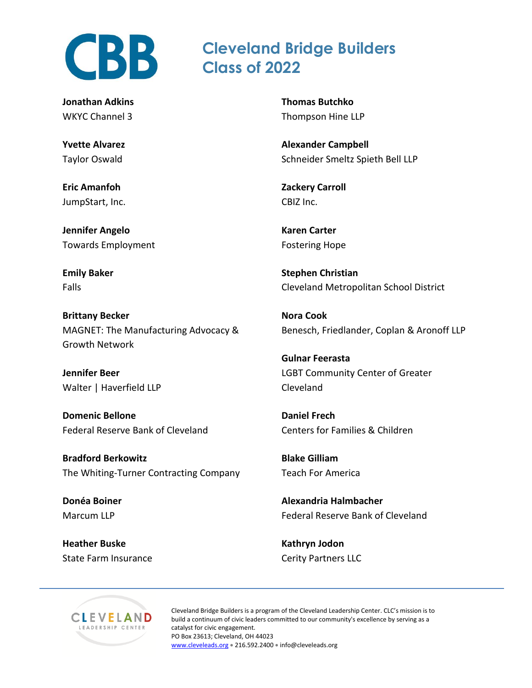

**Jonathan Adkins** WKYC Channel 3

**Yvette Alvarez** Taylor Oswald

**Eric Amanfoh** JumpStart, Inc.

**Jennifer Angelo** Towards Employment

**Emily Baker** Falls

**Brittany Becker** MAGNET: The Manufacturing Advocacy & Growth Network

**Jennifer Beer** Walter | Haverfield LLP

**Domenic Bellone** Federal Reserve Bank of Cleveland

**Bradford Berkowitz** The Whiting-Turner Contracting Company

**Donéa Boiner** Marcum LLP

**Heather Buske** State Farm Insurance **Thomas Butchko** Thompson Hine LLP

**Cleveland Bridge Builders**

**Class of 2022**

**Alexander Campbell** Schneider Smeltz Spieth Bell LLP

**Zackery Carroll** CBIZ Inc.

**Karen Carter** Fostering Hope

**Stephen Christian** Cleveland Metropolitan School District

**Nora Cook** Benesch, Friedlander, Coplan & Aronoff LLP

**Gulnar Feerasta** LGBT Community Center of Greater Cleveland

**Daniel Frech** Centers for Families & Children

**Blake Gilliam** Teach For America

**Alexandria Halmbacher** Federal Reserve Bank of Cleveland

**Kathryn Jodon** Cerity Partners LLC



Cleveland Bridge Builders is a program of the Cleveland Leadership Center. CLC's mission is to build a continuum of civic leaders committed to our community's excellence by serving as a catalyst for civic engagement. PO Box 23613; Cleveland, OH 44023 [www.cleveleads.org](http://www.cleveleads.org2/) • 216.592.2400 • info@cleveleads.org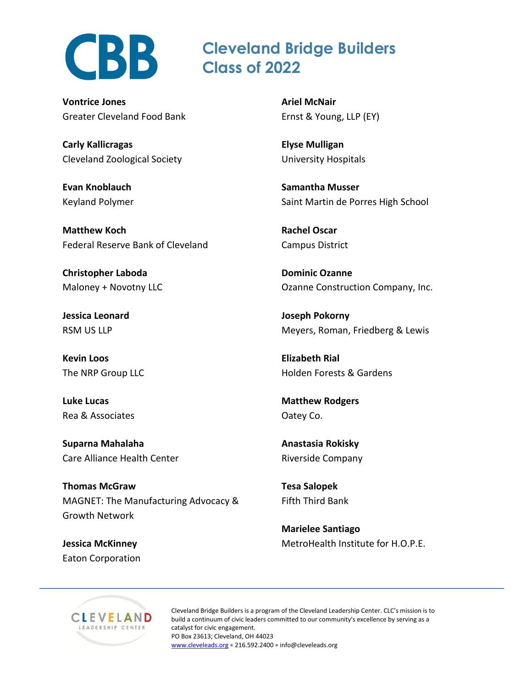

## **Cleveland Bridge Builders Class of 2022**

**Vontrice Jones** Greater Cleveland Food Bank

**Carly Kallicragas** Cleveland Zoological Society

**Evan Knoblauch** Keyland Polymer

**Matthew Koch** Federal Reserve Bank of Cleveland

**Christopher Laboda** Maloney + Novotny LLC

**Jessica Leonard** RSM US LLP

**Kevin Loos** The NRP Group LLC

**Luke Lucas** Rea & Associates

**Suparna Mahalaha** Care Alliance Health Center

**Thomas McGraw** MAGNET: The Manufacturing Advocacy & Growth Network

**Jessica McKinney** Eaton Corporation **Ariel McNair** Ernst & Young, LLP (EY)

**Elyse Mulligan** University Hospitals

**Samantha Musser** Saint Martin de Porres High School

**Rachel Oscar** Campus District

**Dominic Ozanne** Ozanne Construction Company, Inc.

**Joseph Pokorny** Meyers, Roman, Friedberg & Lewis

**Elizabeth Rial** Holden Forests & Gardens

**Matthew Rodgers** Oatey Co.

**Anastasia Rokisky** Riverside Company

**Tesa Salopek** Fifth Third Bank

**Marielee Santiago** MetroHealth Institute for H.O.P.E.



Cleveland Bridge Builders is a program of the Cleveland Leadership Center. CLC's mission is to build a continuum of civic leaders committed to our community's excellence by serving as a catalyst for civic engagement. PO Box 23613; Cleveland, OH 44023 [www.cleveleads.org](http://www.cleveleads.org2/) • 216.592.2400 • info@cleveleads.org